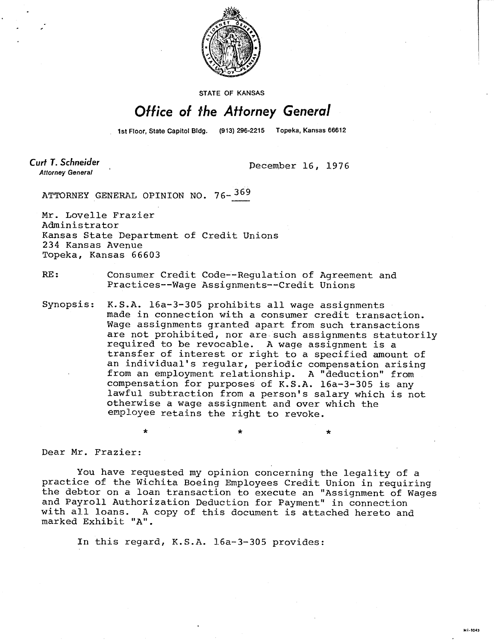

**STATE OF KANSAS** 

## Office of the Attorney General

1st Floor, State Capitol Bldg. (913) 296-2215 Topeka, Kansas 66612

Curt T. Schneider **Attorney General** 

December 16, 1976

ATTORNEY GENERAL OPINION NO. 76-369

Mr. Lovelle Frazier Administrator Kansas State Department of Credit Unions 234 Kansas Avenue Topeka, Kansas 66603

RE: Consumer Credit Code--Regulation of Agreement and Practices--Wage Assignments--Credit Unions

Synopsis: K.S.A. 16a-3-305 prohibits all wage assignments made in connection with a consumer credit transaction. Wage assignments granted apart from such transactions are not prohibited, nor are such assignments statutorily required to be revocable. A wage assignment is a transfer of interest or right to a specified amount of an individual's regular, periodic compensation arising from an employment relationship. A "deduction" from compensation for purposes of K.S.A. 16a-3-305 is any lawful subtraction from a person's salary which is not otherwise a wage assignment and over which the employee retains the right to revoke.

Dear Mr. Frazier:

You have requested my opinion concerning the legality of a practice of the Wichita Boeing Employees Credit Union in requiring the debtor on a loan transaction to execute an "Assignment of Wages and Payroll Authorization Deduction for Payment" in connection<br>with all loans. A copy of this document is attached hereto and A copy of this document is attached hereto and marked Exhibit "A".

E301-IM

In this regard, K.S.A. 16a-3-305 provides: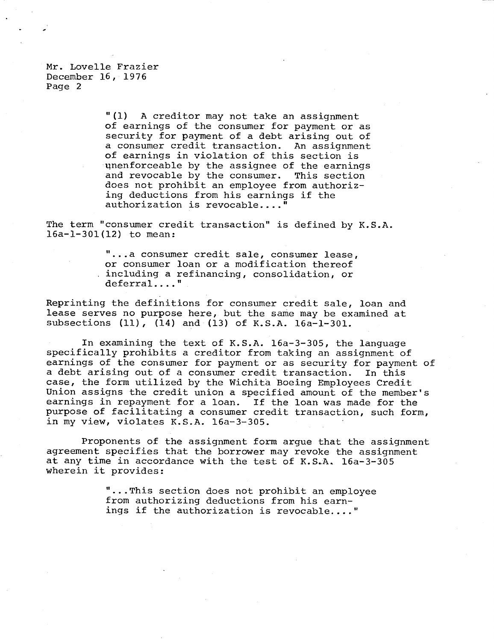Mr. Lovelle Frazier December 16, 1976 Page 2

> "(1) A creditor may not take an assignment of earnings of the consumer for payment or as security for payment of a debt arising out of a consumer credit transaction. An assignment of earnings in violation of this section is unenforceable by the assignee of the earnings and revocable by the consumer. This section does not prohibit an employee from authorizing deductions from his earnings if the authorization is revocable...."

The term "consumer credit transaction" is defined by K.S.A. 16a-1-301(12) to mean:

> "...a consumer credit sale, consumer lease, or consumer loan or a modification thereof including a refinancing, consolidation, or deferral...."

Reprinting the definitions for consumer credit sale, loan and lease serves no purpose here, but the same may be examined at subsections (11), (14) and (13) of K.S.A. 16a-1-301.

In examining the text of K.S.A. 16a-3-305, the language specifically prohibits a creditor from taking an assignment of earnings of the consumer for payment or as security for payment of a debt arising out of a consumer credit transaction. In this case, the form utilized by the Wichita Boeing Employees Credit Union assigns the credit union a specified amount of the member's earnings in repayment for a loan. If the loan was made for the purpose of facilitating a consumer credit transaction, such form, in my view, violates K.S.A. 16a-3-305.

Proponents of the assignment form argue that the assignment agreement specifies that the borrower may revoke the assignment at any time in accordance with the test of K.S.A. 16a-3-305 wherein it provides:

> "...This section does not prohibit an employee from authorizing deductions from his earnings if the authorization is revocable...."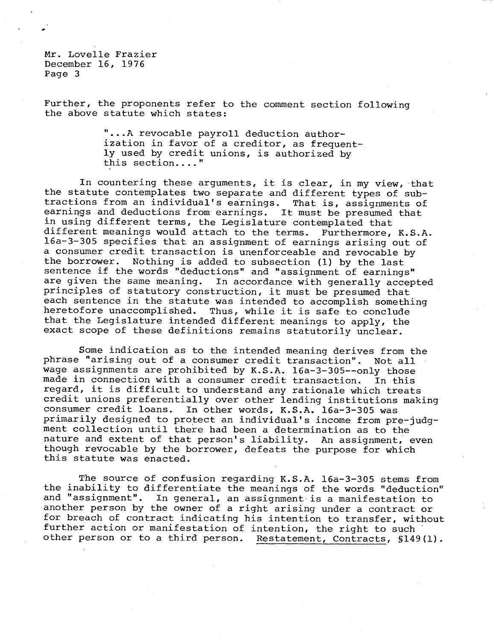Mr. Lovelle Frazier December 16, 1976 Page 3

Further, the proponents refer to the comment section following the above statute which states:

> " ...A revocable payroll deduction authorization in favor of a creditor, as frequently used by credit unions, is authorized by this section...."

In countering these arguments, it is clear, in my view, that the statute contemplates two separate and different types of subtractions from an individual's earnings. That is, assignments of earnings and deductions from earnings. It must be presumed that in using different terms, the Legislature contemplated that different meanings would attach to the terms. Furthermore, K.S.A. 16a-3-305 specifies that an assignment of earnings arising out of a consumer credit transaction is unenforceable and revocable by<br>the borrower. Nothing is added to subsection (1) by the last Nothing is added to subsection (1) by the last sentence if the words "deductions" and "assignment of earnings" are given the same meaning. In accordance with generally accepted principles of statutory construction, it must be presumed that each sentence in the statute was intended to accomplish something<br>heretofore unaccomplished. Thus, while it is safe to conclude Thus, while it is safe to conclude that the Legislature intended different meanings to apply, the exact scope of these definitions remains statutorily unclear.

Some indication as to the intended meaning derives from the phrase "arising out of a consumer credit transaction". Not all wage assignments are prohibited by K.S.A. 16a-3-305--only those made in connection with a consumer credit transaction. In this regard, it is difficult to understand any rationale which treats credit unions preferentially over other lending institutions making consumer credit loans. In other words, K.S.A. 16a-3-305 was primarily designed to protect an individual's income from pre-judgment collection until there had been a determination as to the nature and extent of that person's liability. An assignment, even though revocable by the borrower, defeats the purpose for which this statute was enacted.

The source of confusion regarding K.S.A. 16a-3-305 stems from the inability to differentiate the meanings of the words "deduction" and "assignment". In general, an assignment is a manifestation to another person by the owner of a right arising under a contract or for breach of contract indicating his intention to transfer, without further action or manifestation of intention, the right to such other person or to a third person. Restatement, Contracts, \$149 Restatement, Contracts, §149(1).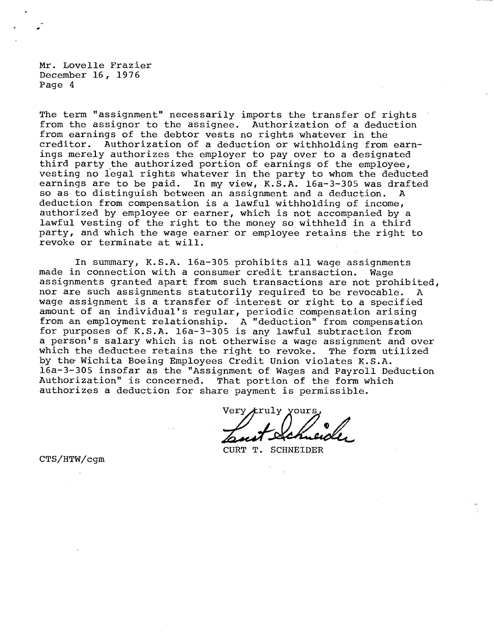Mr. Lovelle Frazier December 16, 1976 Page 4

The term "assignment" necessarily imports the transfer of rights from the assignor to the assignee. Authorization of a deduction from earnings of the debtor vests no rights whatever in the creditor. Authorization of a deduction or withholding from earnings merely authorizes the employer to pay over to a designated third party the authorized portion of earnings of the employee, vesting no legal rights whatever in the party to whom the deducted earnings are to be paid. In my view, K.S.A. 16a-3-305 was drafted so as to distinguish between an assignment and a deduction. A deduction from compensation is a lawful withholding of income, authorized by employee or earner, which is not accompanied by a lawful vesting of the right to the money so withheld in a third party, and which the wage earner or employee retains the right to revoke or terminate at will.

In summary, K.S.A. 16a-305 prohibits all wage assignments made in connection with a consumer credit transaction. Wage assignments granted apart from such transactions are not prohibited, nor are such assignments statutorily required to be revocable. A wage assignment is a transfer of interest or right to a specified amount of an individual's regular, periodic compensation arising from an employment relationship. A "deduction" from compensation for purposes of K.S.A. 16a-3-305 is any lawful subtraction from a person's salary which is not otherwise a wage assignment and over which the deductee retains the right to revoke. The form utilized by the Wichita Boeing Employees Credit Union violates K.S.A. 16a-3-305 insofar as the "Assignment of Wages and Payroll Deduction Authorization" is concerned. That portion of the form which authorizes a deduction for share payment is permissible.

truly yours Very

CURT T. SCHNEIDER

CTS/HTW/cgm